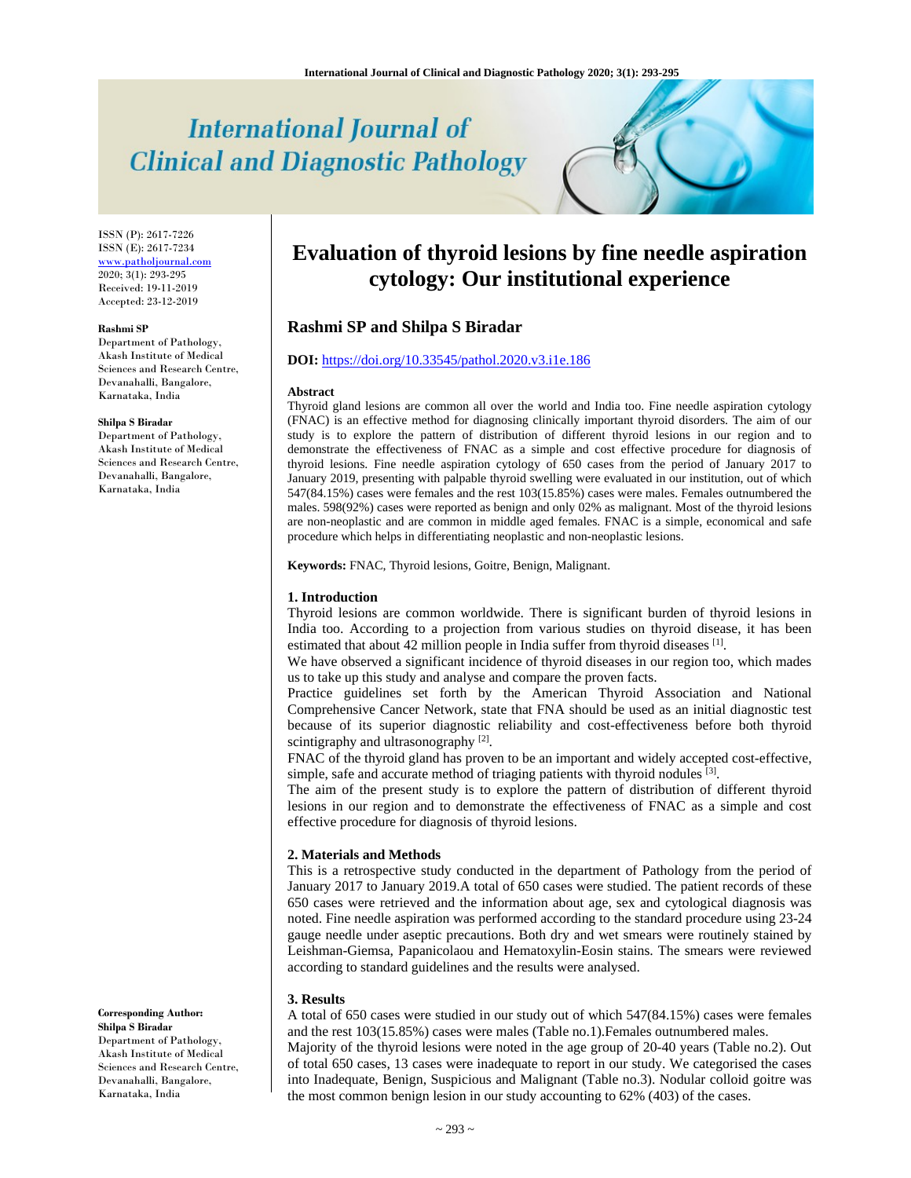# **International Journal of Clinical and Diagnostic Pathology**

ISSN (P): 2617-7226 ISSN (E): 2617-7234 www.patholjournal.com 2020; 3(1): 293-295 Received: 19-11-2019 Accepted: 23-12-2019

#### **Rashmi SP**

Department of Pathology, Akash Institute of Medical Sciences and Research Centre, Devanahalli, Bangalore, Karnataka, India

#### **Shilpa S Biradar**

Department of Pathology, Akash Institute of Medical Sciences and Research Centre, Devanahalli, Bangalore, Karnataka, India

**Corresponding Author: Shilpa S Biradar** Department of Pathology, Akash Institute of Medical Sciences and Research Centre, Devanahalli, Bangalore, Karnataka, India

## **Evaluation of thyroid lesions by fine needle aspiration cytology: Our institutional experience**

### **Rashmi SP and Shilpa S Biradar**

#### **DOI:** https://doi.org/10.33545/pathol.2020.v3.i1e.186

#### **Abstract**

Thyroid gland lesions are common all over the world and India too. Fine needle aspiration cytology (FNAC) is an effective method for diagnosing clinically important thyroid disorders. The aim of our study is to explore the pattern of distribution of different thyroid lesions in our region and to demonstrate the effectiveness of FNAC as a simple and cost effective procedure for diagnosis of thyroid lesions. Fine needle aspiration cytology of 650 cases from the period of January 2017 to January 2019, presenting with palpable thyroid swelling were evaluated in our institution, out of which 547(84.15%) cases were females and the rest 103(15.85%) cases were males. Females outnumbered the males. 598(92%) cases were reported as benign and only 02% as malignant. Most of the thyroid lesions are non-neoplastic and are common in middle aged females. FNAC is a simple, economical and safe procedure which helps in differentiating neoplastic and non-neoplastic lesions.

**Keywords:** FNAC, Thyroid lesions, Goitre, Benign, Malignant.

#### **1. Introduction**

Thyroid lesions are common worldwide. There is significant burden of thyroid lesions in India too. According to a projection from various studies on thyroid disease, it has been estimated that about 42 million people in India suffer from thyroid diseases [1].

We have observed a significant incidence of thyroid diseases in our region too, which mades us to take up this study and analyse and compare the proven facts.

Practice guidelines set forth by the American Thyroid Association and National Comprehensive Cancer Network, state that FNA should be used as an initial diagnostic test because of its superior diagnostic reliability and cost-effectiveness before both thyroid scintigraphy and ultrasonography  $[2]$ .

FNAC of the thyroid gland has proven to be an important and widely accepted cost-effective, simple, safe and accurate method of triaging patients with thyroid nodules  $^{[3]}$ .

The aim of the present study is to explore the pattern of distribution of different thyroid lesions in our region and to demonstrate the effectiveness of FNAC as a simple and cost effective procedure for diagnosis of thyroid lesions.

#### **2. Materials and Methods**

This is a retrospective study conducted in the department of Pathology from the period of January 2017 to January 2019.A total of 650 cases were studied. The patient records of these 650 cases were retrieved and the information about age, sex and cytological diagnosis was noted. Fine needle aspiration was performed according to the standard procedure using 23-24 gauge needle under aseptic precautions. Both dry and wet smears were routinely stained by Leishman-Giemsa, Papanicolaou and Hematoxylin-Eosin stains. The smears were reviewed according to standard guidelines and the results were analysed.

#### **3. Results**

A total of 650 cases were studied in our study out of which 547(84.15%) cases were females and the rest 103(15.85%) cases were males (Table no.1).Females outnumbered males.

Majority of the thyroid lesions were noted in the age group of 20-40 years (Table no.2). Out of total 650 cases, 13 cases were inadequate to report in our study. We categorised the cases into Inadequate, Benign, Suspicious and Malignant (Table no.3). Nodular colloid goitre was the most common benign lesion in our study accounting to 62% (403) of the cases.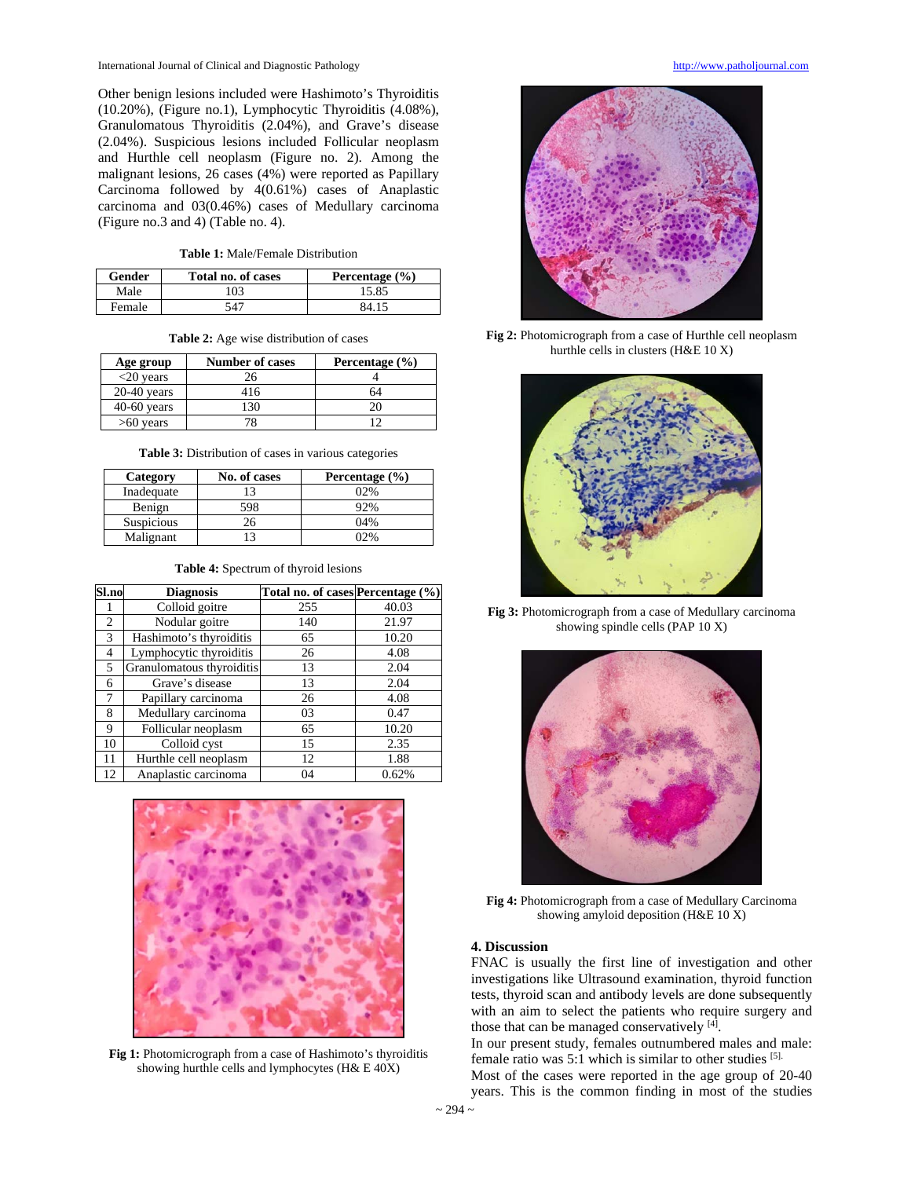International Journal of Clinical and Diagnostic Pathology http://www.patholjournal.com

Other benign lesions included were Hashimoto's Thyroiditis (10.20%), (Figure no.1), Lymphocytic Thyroiditis (4.08%), Granulomatous Thyroiditis (2.04%), and Grave's disease (2.04%). Suspicious lesions included Follicular neoplasm and Hurthle cell neoplasm (Figure no. 2). Among the malignant lesions, 26 cases (4%) were reported as Papillary Carcinoma followed by 4(0.61%) cases of Anaplastic carcinoma and 03(0.46%) cases of Medullary carcinoma (Figure no.3 and 4) (Table no. 4).

**Table 1:** Male/Female Distribution

| Gender | Total no. of cases | Percentage $(\% )$ |
|--------|--------------------|--------------------|
| Male   | 03                 | 15.85              |
| Female | 547                | 84 15              |

**Table 2:** Age wise distribution of cases

| Age group     | <b>Number of cases</b> | Percentage $(\% )$ |
|---------------|------------------------|--------------------|
| $<$ 20 years  | 26                     |                    |
| $20-40$ years | 416                    |                    |
| $40-60$ years | 30                     |                    |
| $>60$ years   |                        |                    |

**Table 3:** Distribution of cases in various categories

| Category   | No. of cases   | Percentage $(\% )$ |
|------------|----------------|--------------------|
| Inadequate | $\overline{1}$ | 02%                |
| Benign     | 598            | 92%                |
| Suspicious | 26             | 04%                |
| Malignant  |                | በን‰                |

**Table 4:** Spectrum of thyroid lesions

| Sl.no          | <b>Diagnosis</b>          | Total no. of cases Percentage (%) |       |
|----------------|---------------------------|-----------------------------------|-------|
|                | Colloid goitre            | 255                               | 40.03 |
| 2              | Nodular goitre            | 140                               | 21.97 |
| 3              | Hashimoto's thyroiditis   | 65                                | 10.20 |
| $\overline{4}$ | Lymphocytic thyroiditis   | 26                                | 4.08  |
| 5              | Granulomatous thyroiditis | 13                                | 2.04  |
| 6              | Grave's disease           | 13                                | 2.04  |
| 7              | Papillary carcinoma       | 26                                | 4.08  |
| 8              | Medullary carcinoma       | 03                                | 0.47  |
| 9              | Follicular neoplasm       | 65                                | 10.20 |
| 10             | Colloid cyst              | 15                                | 2.35  |
| 11             | Hurthle cell neoplasm     | 12                                | 1.88  |
| 12             | Anaplastic carcinoma      | 04                                | 0.62% |



**Fig 1:** Photomicrograph from a case of Hashimoto's thyroiditis showing hurthle cells and lymphocytes (H& E 40X)



**Fig 2:** Photomicrograph from a case of Hurthle cell neoplasm hurthle cells in clusters (H&E 10 X)



**Fig 3:** Photomicrograph from a case of Medullary carcinoma showing spindle cells (PAP 10 X)



**Fig 4:** Photomicrograph from a case of Medullary Carcinoma showing amyloid deposition (H&E 10 X)

#### **4. Discussion**

FNAC is usually the first line of investigation and other investigations like Ultrasound examination, thyroid function tests, thyroid scan and antibody levels are done subsequently with an aim to select the patients who require surgery and those that can be managed conservatively  $[4]$ .

In our present study, females outnumbered males and male: female ratio was 5:1 which is similar to other studies [5].

Most of the cases were reported in the age group of 20-40 years. This is the common finding in most of the studies